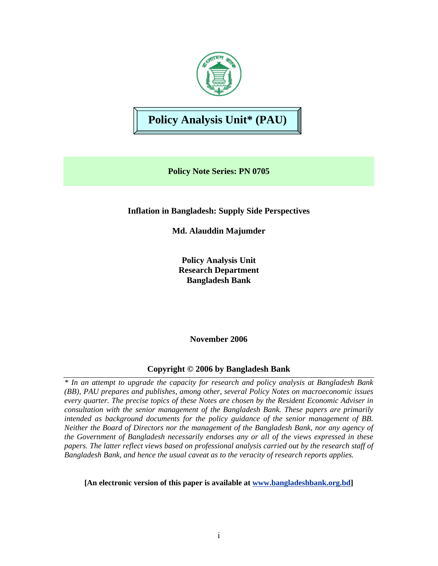

# **Policy Analysis Unit\* (PAU)**

**Policy Note Series: PN 0705** 

**Inflation in Bangladesh: Supply Side Perspectives** 

**Md. Alauddin Majumder** 

**Policy Analysis Unit Research Department Bangladesh Bank** 

**November 2006** 

# **Copyright © 2006 by Bangladesh Bank**

*\* In an attempt to upgrade the capacity for research and policy analysis at Bangladesh Bank (BB), PAU prepares and publishes, among other, several Policy Notes on macroeconomic issues every quarter. The precise topics of these Notes are chosen by the Resident Economic Adviser in consultation with the senior management of the Bangladesh Bank. These papers are primarily intended as background documents for the policy guidance of the senior management of BB. Neither the Board of Directors nor the management of the Bangladesh Bank, nor any agency of the Government of Bangladesh necessarily endorses any or all of the views expressed in these papers. The latter reflect views based on professional analysis carried out by the research staff of Bangladesh Bank, and hence the usual caveat as to the veracity of research reports applies.* 

**[An electronic version of this paper is available at www.bangladeshbank.org.bd]**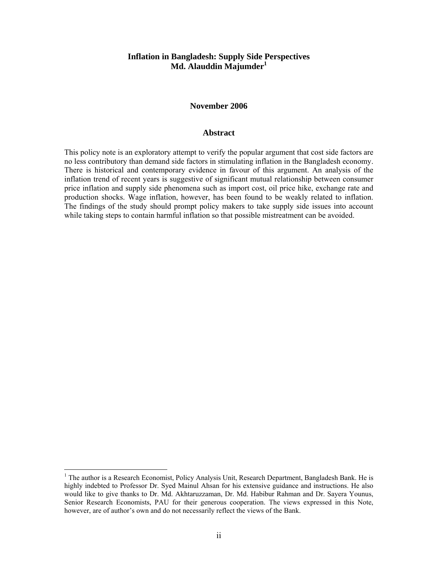#### **Inflation in Bangladesh: Supply Side Perspectives Md. Alauddin Majumder<sup>1</sup>**

#### **November 2006**

#### **Abstract**

This policy note is an exploratory attempt to verify the popular argument that cost side factors are no less contributory than demand side factors in stimulating inflation in the Bangladesh economy. There is historical and contemporary evidence in favour of this argument. An analysis of the inflation trend of recent years is suggestive of significant mutual relationship between consumer price inflation and supply side phenomena such as import cost, oil price hike, exchange rate and production shocks. Wage inflation, however, has been found to be weakly related to inflation. The findings of the study should prompt policy makers to take supply side issues into account while taking steps to contain harmful inflation so that possible mistreatment can be avoided.

 $\overline{a}$ 

<sup>&</sup>lt;sup>1</sup> The author is a Research Economist, Policy Analysis Unit, Research Department, Bangladesh Bank. He is highly indebted to Professor Dr. Syed Mainul Ahsan for his extensive guidance and instructions. He also would like to give thanks to Dr. Md. Akhtaruzzaman, Dr. Md. Habibur Rahman and Dr. Sayera Younus, Senior Research Economists, PAU for their generous cooperation. The views expressed in this Note, however, are of author's own and do not necessarily reflect the views of the Bank.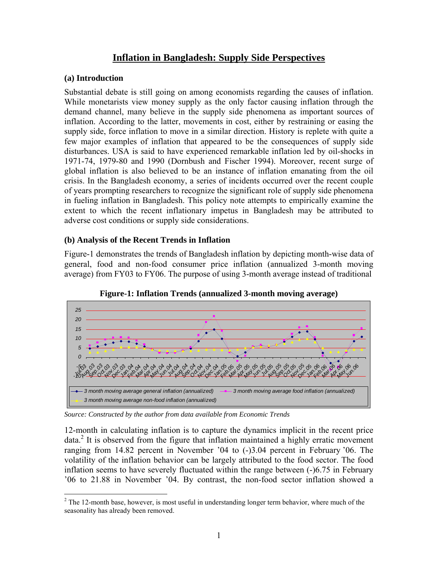# **Inflation in Bangladesh: Supply Side Perspectives**

### **(a) Introduction**

1

Substantial debate is still going on among economists regarding the causes of inflation. While monetarists view money supply as the only factor causing inflation through the demand channel, many believe in the supply side phenomena as important sources of inflation. According to the latter, movements in cost, either by restraining or easing the supply side, force inflation to move in a similar direction. History is replete with quite a few major examples of inflation that appeared to be the consequences of supply side disturbances. USA is said to have experienced remarkable inflation led by oil-shocks in 1971-74, 1979-80 and 1990 (Dornbush and Fischer 1994). Moreover, recent surge of global inflation is also believed to be an instance of inflation emanating from the oil crisis. In the Bangladesh economy, a series of incidents occurred over the recent couple of years prompting researchers to recognize the significant role of supply side phenomena in fueling inflation in Bangladesh. This policy note attempts to empirically examine the extent to which the recent inflationary impetus in Bangladesh may be attributed to adverse cost conditions or supply side considerations.

# **(b) Analysis of the Recent Trends in Inflation**

Figure-1 demonstrates the trends of Bangladesh inflation by depicting month-wise data of general, food and non-food consumer price inflation (annualized 3-month moving average) from FY03 to FY06. The purpose of using 3-month average instead of traditional



**Figure-1: Inflation Trends (annualized 3-month moving average)** 

*Source: Constructed by the author from data available from Economic Trends* 

12-month in calculating inflation is to capture the dynamics implicit in the recent price data.<sup>2</sup> It is observed from the figure that inflation maintained a highly erratic movement ranging from 14.82 percent in November '04 to (-)3.04 percent in February '06. The volatility of the inflation behavior can be largely attributed to the food sector. The food inflation seems to have severely fluctuated within the range between (-)6.75 in February '06 to 21.88 in November '04. By contrast, the non-food sector inflation showed a

 $2$  The 12-month base, however, is most useful in understanding longer term behavior, where much of the seasonality has already been removed.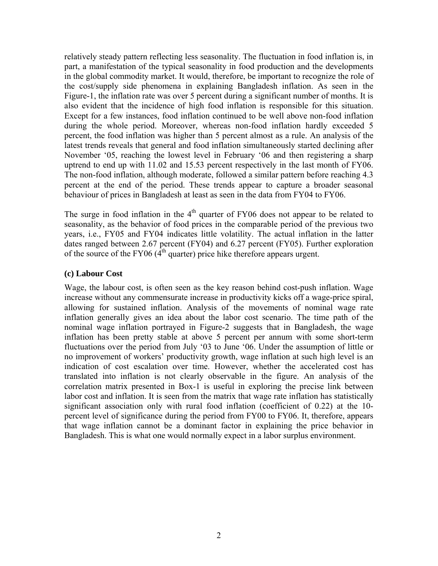relatively steady pattern reflecting less seasonality. The fluctuation in food inflation is, in part, a manifestation of the typical seasonality in food production and the developments in the global commodity market. It would, therefore, be important to recognize the role of the cost/supply side phenomena in explaining Bangladesh inflation. As seen in the Figure-1, the inflation rate was over 5 percent during a significant number of months. It is also evident that the incidence of high food inflation is responsible for this situation. Except for a few instances, food inflation continued to be well above non-food inflation during the whole period. Moreover, whereas non-food inflation hardly exceeded 5 percent, the food inflation was higher than 5 percent almost as a rule. An analysis of the latest trends reveals that general and food inflation simultaneously started declining after November '05, reaching the lowest level in February '06 and then registering a sharp uptrend to end up with 11.02 and 15.53 percent respectively in the last month of FY06. The non-food inflation, although moderate, followed a similar pattern before reaching 4.3 percent at the end of the period. These trends appear to capture a broader seasonal behaviour of prices in Bangladesh at least as seen in the data from FY04 to FY06.

The surge in food inflation in the  $4<sup>th</sup>$  quarter of FY06 does not appear to be related to seasonality, as the behavior of food prices in the comparable period of the previous two years, i.e., FY05 and FY04 indicates little volatility. The actual inflation in the latter dates ranged between 2.67 percent (FY04) and 6.27 percent (FY05). Further exploration of the source of the FY06  $(4<sup>th</sup>$  quarter) price hike therefore appears urgent.

#### **(c) Labour Cost**

Wage, the labour cost, is often seen as the key reason behind cost-push inflation. Wage increase without any commensurate increase in productivity kicks off a wage-price spiral, allowing for sustained inflation. Analysis of the movements of nominal wage rate inflation generally gives an idea about the labor cost scenario. The time path of the nominal wage inflation portrayed in Figure-2 suggests that in Bangladesh, the wage inflation has been pretty stable at above 5 percent per annum with some short-term fluctuations over the period from July '03 to June '06. Under the assumption of little or no improvement of workers' productivity growth, wage inflation at such high level is an indication of cost escalation over time. However, whether the accelerated cost has translated into inflation is not clearly observable in the figure. An analysis of the correlation matrix presented in Box-1 is useful in exploring the precise link between labor cost and inflation. It is seen from the matrix that wage rate inflation has statistically significant association only with rural food inflation (coefficient of 0.22) at the 10 percent level of significance during the period from FY00 to FY06. It, therefore, appears that wage inflation cannot be a dominant factor in explaining the price behavior in Bangladesh. This is what one would normally expect in a labor surplus environment.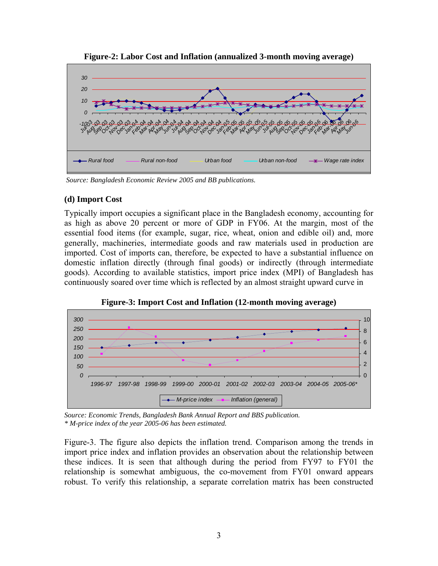

**Figure-2: Labor Cost and Inflation (annualized 3-month moving average)** 

*Source: Bangladesh Economic Review 2005 and BB publications.*

# **(d) Import Cost**

Typically import occupies a significant place in the Bangladesh economy, accounting for as high as above 20 percent or more of GDP in FY06. At the margin, most of the essential food items (for example, sugar, rice, wheat, onion and edible oil) and, more generally, machineries, intermediate goods and raw materials used in production are imported. Cost of imports can, therefore, be expected to have a substantial influence on domestic inflation directly (through final goods) or indirectly (through intermediate goods). According to available statistics, import price index (MPI) of Bangladesh has continuously soared over time which is reflected by an almost straight upward curve in



**Figure-3: Import Cost and Inflation (12-month moving average)** 

*Source: Economic Trends, Bangladesh Bank Annual Report and BBS publication. \* M-price index of the year 2005-06 has been estimated.* 

Figure-3. The figure also depicts the inflation trend. Comparison among the trends in import price index and inflation provides an observation about the relationship between these indices. It is seen that although during the period from FY97 to FY01 the relationship is somewhat ambiguous, the co-movement from FY01 onward appears robust. To verify this relationship, a separate correlation matrix has been constructed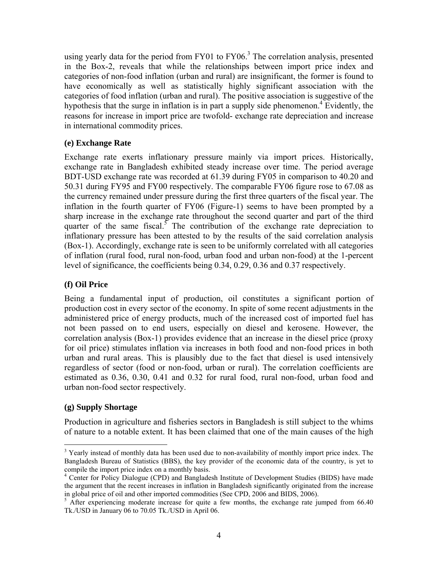using yearly data for the period from FY01 to FY06.<sup>3</sup> The correlation analysis, presented in the Box-2, reveals that while the relationships between import price index and categories of non-food inflation (urban and rural) are insignificant, the former is found to have economically as well as statistically highly significant association with the categories of food inflation (urban and rural). The positive association is suggestive of the hypothesis that the surge in inflation is in part a supply side phenomenon.<sup>4</sup> Evidently, the reasons for increase in import price are twofold- exchange rate depreciation and increase in international commodity prices.

# **(e) Exchange Rate**

Exchange rate exerts inflationary pressure mainly via import prices. Historically, exchange rate in Bangladesh exhibited steady increase over time. The period average BDT-USD exchange rate was recorded at 61.39 during FY05 in comparison to 40.20 and 50.31 during FY95 and FY00 respectively. The comparable FY06 figure rose to 67.08 as the currency remained under pressure during the first three quarters of the fiscal year. The inflation in the fourth quarter of FY06 (Figure-1) seems to have been prompted by a sharp increase in the exchange rate throughout the second quarter and part of the third quarter of the same fiscal.<sup>5</sup> The contribution of the exchange rate depreciation to inflationary pressure has been attested to by the results of the said correlation analysis (Box-1). Accordingly, exchange rate is seen to be uniformly correlated with all categories of inflation (rural food, rural non-food, urban food and urban non-food) at the 1-percent level of significance, the coefficients being 0.34, 0.29, 0.36 and 0.37 respectively.

# **(f) Oil Price**

Being a fundamental input of production, oil constitutes a significant portion of production cost in every sector of the economy. In spite of some recent adjustments in the administered price of energy products, much of the increased cost of imported fuel has not been passed on to end users, especially on diesel and kerosene. However, the correlation analysis (Box-1) provides evidence that an increase in the diesel price (proxy for oil price) stimulates inflation via increases in both food and non-food prices in both urban and rural areas. This is plausibly due to the fact that diesel is used intensively regardless of sector (food or non-food, urban or rural). The correlation coefficients are estimated as 0.36, 0.30, 0.41 and 0.32 for rural food, rural non-food, urban food and urban non-food sector respectively.

# **(g) Supply Shortage**

 $\overline{a}$ 

Production in agriculture and fisheries sectors in Bangladesh is still subject to the whims of nature to a notable extent. It has been claimed that one of the main causes of the high

<sup>&</sup>lt;sup>3</sup> Yearly instead of monthly data has been used due to non-availability of monthly import price index. The Bangladesh Bureau of Statistics (BBS), the key provider of the economic data of the country, is yet to compile the import price index on a monthly basis.

<sup>&</sup>lt;sup>4</sup> Center for Policy Dialogue (CPD) and Bangladesh Institute of Development Studies (BIDS) have made the argument that the recent increases in inflation in Bangladesh significantly originated from the increase in global price of oil and other imported commodities (See CPD, 2006 and BIDS, 2006).

<sup>&</sup>lt;sup>5</sup> After experiencing moderate increase for quite a few months, the exchange rate jumped from 66.40 Tk./USD in January 06 to 70.05 Tk./USD in April 06.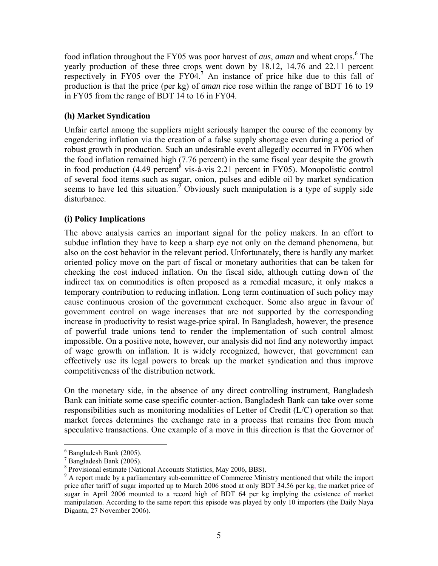food inflation throughout the FY05 was poor harvest of *aus*, *aman* and wheat crops.<sup>6</sup> The yearly production of these three crops went down by 18.12, 14.76 and 22.11 percent respectively in FY05 over the FY04.<sup>7</sup> An instance of price hike due to this fall of production is that the price (per kg) of *aman* rice rose within the range of BDT 16 to 19 in FY05 from the range of BDT 14 to 16 in FY04.

# **(h) Market Syndication**

Unfair cartel among the suppliers might seriously hamper the course of the economy by engendering inflation via the creation of a false supply shortage even during a period of robust growth in production. Such an undesirable event allegedly occurred in FY06 when the food inflation remained high (7.76 percent) in the same fiscal year despite the growth in food production  $(4.49 \text{ percent}^8 \text{ vis-}\hat{\text{a}}\text{-vis} 2.21 \text{ percent in FY05})$ . Monopolistic control of several food items such as sugar, onion, pulses and edible oil by market syndication seems to have led this situation.<sup> $\delta$ </sup> Obviously such manipulation is a type of supply side disturbance.

# **(i) Policy Implications**

The above analysis carries an important signal for the policy makers. In an effort to subdue inflation they have to keep a sharp eye not only on the demand phenomena, but also on the cost behavior in the relevant period. Unfortunately, there is hardly any market oriented policy move on the part of fiscal or monetary authorities that can be taken for checking the cost induced inflation. On the fiscal side, although cutting down of the indirect tax on commodities is often proposed as a remedial measure, it only makes a temporary contribution to reducing inflation. Long term continuation of such policy may cause continuous erosion of the government exchequer. Some also argue in favour of government control on wage increases that are not supported by the corresponding increase in productivity to resist wage-price spiral. In Bangladesh, however, the presence of powerful trade unions tend to render the implementation of such control almost impossible. On a positive note, however, our analysis did not find any noteworthy impact of wage growth on inflation. It is widely recognized, however, that government can effectively use its legal powers to break up the market syndication and thus improve competitiveness of the distribution network.

On the monetary side, in the absence of any direct controlling instrument, Bangladesh Bank can initiate some case specific counter-action. Bangladesh Bank can take over some responsibilities such as monitoring modalities of Letter of Credit (L/C) operation so that market forces determines the exchange rate in a process that remains free from much speculative transactions. One example of a move in this direction is that the Governor of

 $\overline{a}$ 

<sup>6</sup> Bangladesh Bank (2005).

<sup>7</sup> Bangladesh Bank (2005).

<sup>8</sup> Provisional estimate (National Accounts Statistics, May 2006, BBS).

<sup>&</sup>lt;sup>9</sup> A report made by a parliamentary sub-committee of Commerce Ministry mentioned that while the import price after tariff of sugar imported up to March 2006 stood at only BDT 34.56 per kg, the market price of sugar in April 2006 mounted to a record high of BDT 64 per kg implying the existence of market manipulation. According to the same report this episode was played by only 10 importers (the Daily Naya Diganta, 27 November 2006).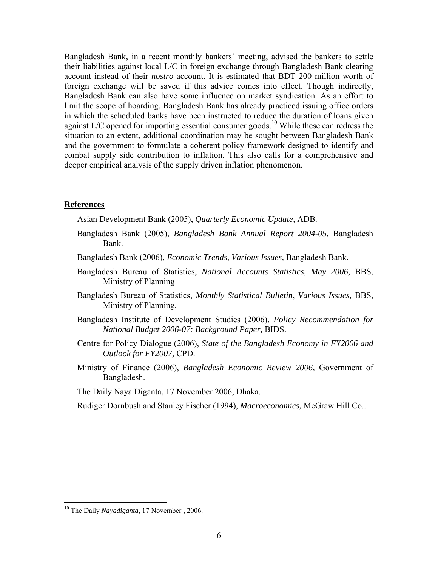Bangladesh Bank, in a recent monthly bankers' meeting, advised the bankers to settle their liabilities against local L/C in foreign exchange through Bangladesh Bank clearing account instead of their *nostro* account. It is estimated that BDT 200 million worth of foreign exchange will be saved if this advice comes into effect. Though indirectly, Bangladesh Bank can also have some influence on market syndication. As an effort to limit the scope of hoarding, Bangladesh Bank has already practiced issuing office orders in which the scheduled banks have been instructed to reduce the duration of loans given against  $L/C$  opened for importing essential consumer goods.<sup>10</sup> While these can redress the situation to an extent, additional coordination may be sought between Bangladesh Bank and the government to formulate a coherent policy framework designed to identify and combat supply side contribution to inflation. This also calls for a comprehensive and deeper empirical analysis of the supply driven inflation phenomenon.

#### **References**

Asian Development Bank (2005), *Quarterly Economic Update,* ADB*.*

- Bangladesh Bank (2005), *Bangladesh Bank Annual Report 2004-05,* Bangladesh Bank.
- Bangladesh Bank (2006), *Economic Trends, Various Issues,* Bangladesh Bank.
- Bangladesh Bureau of Statistics, *National Accounts Statistics, May 2006,* BBS, Ministry of Planning
- Bangladesh Bureau of Statistics, *Monthly Statistical Bulletin*, *Various Issues,* BBS, Ministry of Planning.
- Bangladesh Institute of Development Studies (2006), *Policy Recommendation for National Budget 2006-07: Background Paper,* BIDS.
- Centre for Policy Dialogue (2006), *State of the Bangladesh Economy in FY2006 and Outlook for FY2007,* CPD.
- Ministry of Finance (2006), *Bangladesh Economic Review 2006,* Government of Bangladesh.

The Daily Naya Diganta, 17 November 2006, Dhaka.

Rudiger Dornbush and Stanley Fischer (1994), *Macroeconomics,* McGraw Hill Co..

 $\overline{a}$ 

<sup>10</sup> The Daily *Nayadiganta*, 17 November , 2006.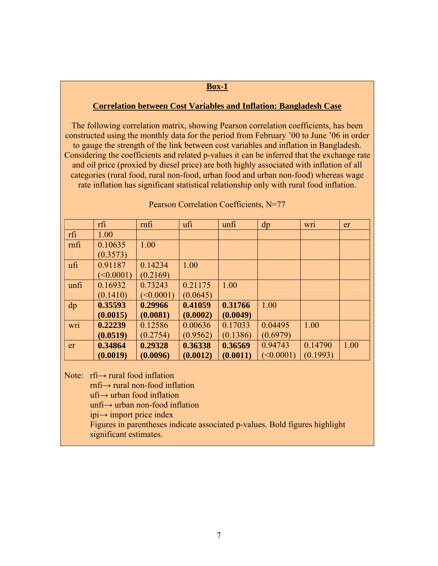#### **Box-1**

#### **Correlation between Cost Variables and Inflation: Bangladesh Case**

The following correlation matrix, showing Pearson correlation coefficients, has been constructed using the monthly data for the period from February '00 to June '06 in order to gauge the strength of the link between cost variables and inflation in Bangladesh. Considering the coefficients and related p-values it can be inferred that the exchange rate and oil price (proxied by diesel price) are both highly associated with inflation of all categories (rural food, rural non-food, urban food and urban non-food) whereas wage rate inflation has significant statistical relationship only with rural food inflation.

|      | rfi       | mfi       | ufi      | unfi     | dp            | <b>Wr1</b> | er   |
|------|-----------|-----------|----------|----------|---------------|------------|------|
| rfi  | 1.00      |           |          |          |               |            |      |
| mfi  | 0.10635   | 1.00      |          |          |               |            |      |
|      | (0.3573)  |           |          |          |               |            |      |
| ufi  | 0.91187   | 0.14234   | 1.00     |          |               |            |      |
|      | (<0.0001) | (0.2169)  |          |          |               |            |      |
| unfi | 0.16932   | 0.73243   | 0.21175  | 1.00     |               |            |      |
|      | (0.1410)  | (<0.0001) | (0.0645) |          |               |            |      |
| dp   | 0.35593   | 0.29966   | 0.41059  | 0.31766  | 1.00          |            |      |
|      | (0.0015)  | (0.0081)  | (0.0002) | (0.0049) |               |            |      |
| wri  | 0.22239   | 0.12586   | 0.00636  | 0.17033  | 0.04495       | 1.00       |      |
|      | (0.0519)  | (0.2754)  | (0.9562) | (0.1386) | (0.6979)      |            |      |
| er   | 0.34864   | 0.29328   | 0.36338  | 0.36569  | 0.94743       | 0.14790    | 1.00 |
|      | (0.0019)  | (0.0096)  | (0.0012) | (0.0011) | $\leq 0.0001$ | (0.1993)   |      |

#### Pearson Correlation Coefficients, N=77

Note: rfi→ rural food inflation

rnfi→ rural non-food inflation

ufi→ urban food inflation

unfi→ urban non-food inflation

ipi→ import price index

Figures in parentheses indicate associated p-values. Bold figures highlight significant estimates.